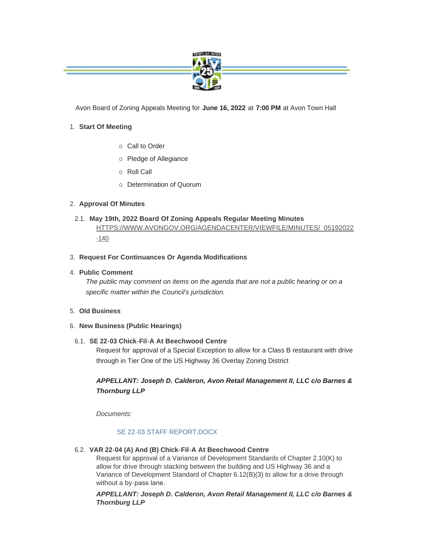

Avon Board of Zoning Appeals Meeting for **June 16, 2022** at **7:00 PM** at Avon Town Hall

# **Start Of Meeting** 1.

- $\circ$  Call to Order
- o Pledge of Allegiance
- o Roll Call
- o Determination of Quorum

# **Approval Of Minutes** 2.

- **May 19th, 2022 Board Of Zoning Appeals Regular Meeting Minutes** 2.1. [HTTPS://WWW.AVONGOV.ORG/AGENDACENTER/VIEWFILE/MINUTES/\\_05192022](https://www.avongov.org/AgendaCenter/ViewFile/Minutes/_05192022-140) -140
- **Request For Continuances Or Agenda Modifications** 3.
- **Public Comment** 4.

*The public may comment on items on the agenda that are not a public hearing or on a specific matter within the Council's jurisdiction.*

- **Old Business** 5.
- **New Business (Public Hearings)** 6.

## **SE 22-03 Chick-Fil-A At Beechwood Centre** 6.1.

Request for approval of a Special Exception to allow for a Class B restaurant with drive through in Tier One of the US Highway 36 Overlay Zoning District

# *APPELLANT: Joseph D. Calderon, Avon Retail Management II, LLC c/o Barnes & Thornburg LLP*

*Documents:*

## [SE 22-03 STAFF REPORT.DOCX](https://www.avongov.org/AgendaCenter/ViewFile/Item/614?fileID=455)

**VAR 22-04 (A) And (B) Chick-Fil-A At Beechwood Centre**  6.2.

Request for approval of a Variance of Development Standards of Chapter 2.10(K) to allow for drive through stacking between the building and US Highway 36 and a Variance of Development Standard of Chapter 6.12(B)(3) to allow for a drive through without a by-pass lane.

*APPELLANT: Joseph D. Calderon, Avon Retail Management II, LLC c/o Barnes & Thornburg LLP*